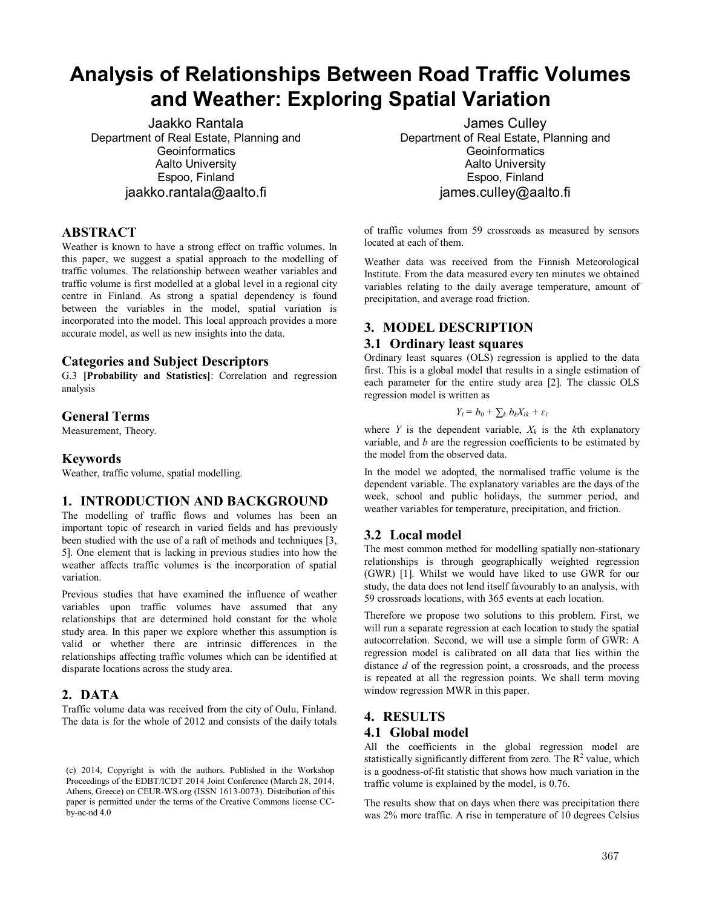# **Analysis of Relationships Between Road Traffic Volumes and Weather: Exploring Spatial Variation**

Jaakko Rantala Department of Real Estate, Planning and **Geoinformatics** Aalto University Espoo, Finland jaakko.rantala@aalto.fi

#### **ABSTRACT**

Weather is known to have a strong effect on traffic volumes. In this paper, we suggest a spatial approach to the modelling of traffic volumes. The relationship between weather variables and traffic volume is first modelled at a global level in a regional city centre in Finland. As strong a spatial dependency is found between the variables in the model, spatial variation is incorporated into the model. This local approach provides a more accurate model, as well as new insights into the data.

#### **Categories and Subject Descriptors**

G.3 **[Probability and Statistics]**: Correlation and regression analysis

#### **General Terms**

Measurement, Theory.

#### **Keywords**

Weather, traffic volume, spatial modelling.

## **1. INTRODUCTION AND BACKGROUND**

The modelling of traffic flows and volumes has been an important topic of research in varied fields and has previously been studied with the use of a raft of methods and techniques [3, 5]. One element that is lacking in previous studies into how the weather affects traffic volumes is the incorporation of spatial variation.

Previous studies that have examined the influence of weather variables upon traffic volumes have assumed that any relationships that are determined hold constant for the whole study area. In this paper we explore whether this assumption is valid or whether there are intrinsic differences in the relationships affecting traffic volumes which can be identified at disparate locations across the study area.

#### **2. DATA**

Traffic volume data was received from the city of Oulu, Finland. The data is for the whole of 2012 and consists of the daily totals

James Culley Department of Real Estate, Planning and **Geoinformatics** Aalto University Espoo, Finland james.culley@aalto.fi

of traffic volumes from 59 crossroads as measured by sensors located at each of them.

Weather data was received from the Finnish Meteorological Institute. From the data measured every ten minutes we obtained variables relating to the daily average temperature, amount of precipitation, and average road friction.

## **3. MODEL DESCRIPTION**

#### **3.1 Ordinary least squares**

Ordinary least squares (OLS) regression is applied to the data first. This is a global model that results in a single estimation of each parameter for the entire study area [2]. The classic OLS regression model is written as

$$
Y_i = b_0 + \sum_k b_k X_{ik} + \varepsilon_i
$$

where *Y* is the dependent variable,  $X_k$  is the *k*th explanatory variable, and *b* are the regression coefficients to be estimated by the model from the observed data.

In the model we adopted, the normalised traffic volume is the dependent variable. The explanatory variables are the days of the week, school and public holidays, the summer period, and weather variables for temperature, precipitation, and friction.

## **3.2 Local model**

The most common method for modelling spatially non-stationary relationships is through geographically weighted regression (GWR) [1]. Whilst we would have liked to use GWR for our study, the data does not lend itself favourably to an analysis, with 59 crossroads locations, with 365 events at each location.

Therefore we propose two solutions to this problem. First, we will run a separate regression at each location to study the spatial autocorrelation. Second, we will use a simple form of GWR: A regression model is calibrated on all data that lies within the distance *d* of the regression point, a crossroads, and the process is repeated at all the regression points. We shall term moving window regression MWR in this paper.

#### **4. RESULTS**

#### **4.1 Global model**

All the coefficients in the global regression model are statistically significantly different from zero. The  $R<sup>2</sup>$  value, which is a goodness-of-fit statistic that shows how much variation in the traffic volume is explained by the model, is 0.76.

The results show that on days when there was precipitation there was 2% more traffic. A rise in temperature of 10 degrees Celsius

<sup>(</sup>c) 2014, Copyright is with the authors. Published in the Workshop Proceedings of the EDBT/ICDT 2014 Joint Conference (March 28, 2014, Athens, Greece) on CEUR-WS.org (ISSN 1613-0073). Distribution of this paper is permitted under the terms of the Creative Commons license CCby-nc-nd 4.0